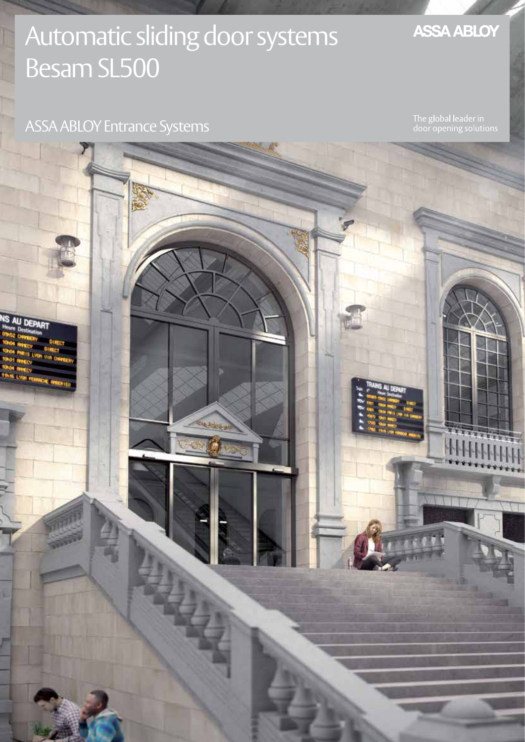## Automatic sliding door systems Besam SL500

## **ASSA ABLOY**

## ASSA ABLOY Entrance Systems

AU DE

The global leader in<br>door opening solutions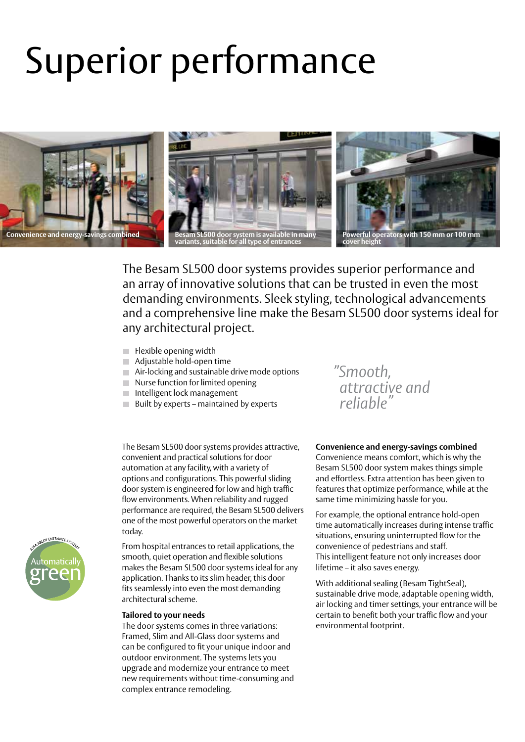# Superior performance



The Besam SL500 door systems provides superior performance and an array of innovative solutions that can be trusted in even the most demanding environments. Sleek styling, technological advancements and a comprehensive line make the Besam SL500 door systems ideal for any architectural project.

- $\blacksquare$  Flexible opening width
- Adjustable hold-open time
- Air-locking and sustainable drive mode options
- $\blacksquare$  Nurse function for limited opening
- **Intelligent lock management**
- $\blacksquare$  Built by experts maintained by experts

The Besam SL500 door systems provides attractive, convenient and practical solutions for door automation at any facility, with a variety of options and configurations. This powerful sliding door system is engineered for low and high traffic flow environments. When reliability and rugged performance are required, the Besam SL500 delivers one of the most powerful operators on the market

today. From hospital entrances to retail applications, the smooth, quiet operation and flexible solutions makes the Besam SL500 door systems ideal for any application. Thanks to its slim header, this door fits seamlessly into even the most demanding architectural scheme.

#### **Tailored to your needs**

The door systems comes in three variations: Framed, Slim and All-Glass door systems and can be configured to fit your unique indoor and outdoor environment. The systems lets you upgrade and modernize your entrance to meet new requirements without time-consuming and complex entrance remodeling.

## *"Smooth, attractive and reliable"*

#### **Convenience and energy-savings combined**

Convenience means comfort, which is why the Besam SL500 door system makes things simple and effortless. Extra attention has been given to features that optimize performance, while at the same time minimizing hassle for you.

For example, the optional entrance hold-open time automatically increases during intense traffic situations, ensuring uninterrupted flow for the convenience of pedestrians and staff. This intelligent feature not only increases door lifetime – it also saves energy.

With additional sealing (Besam TightSeal), sustainable drive mode, adaptable opening width, air locking and timer settings, your entrance will be certain to benefit both your traffic flow and your environmental footprint.

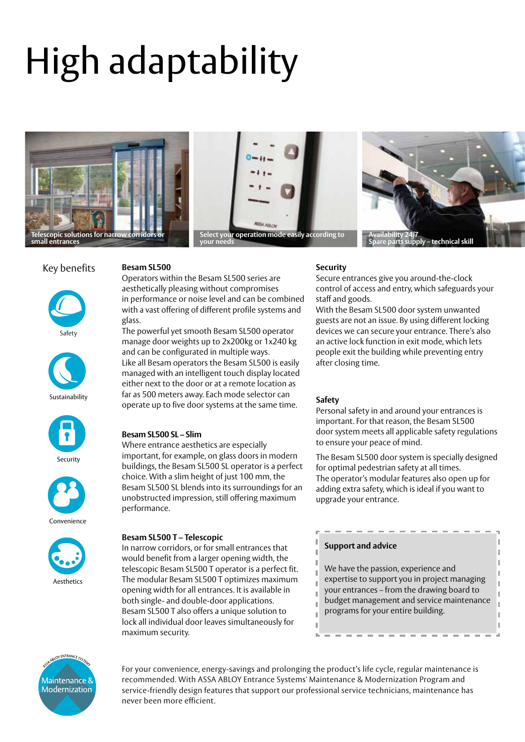# High adaptability







### Key benefits











Convenience



#### **Besam SL500**

Operators within the Besam SL500 series are aesthetically pleasing without compromises in performance or noise level and can be combined with a vast offering of different profile systems and glass.

The powerful yet smooth Besam SL500 operator manage door weights up to 2x200kg or 1x240 kg and can be configurated in multiple ways. Like all Besam operators the Besam SL500 is easily managed with an intelligent touch display located either next to the door or at a remote location as far as 500 meters away. Each mode selector can operate up to five door systems at the same time. **Safety**

### **Besam SL500 SL – Slim**

Where entrance aesthetics are especially important, for example, on glass doors in modern buildings, the Besam SL500 SL operator is a perfect choice. With a slim height of just 100 mm, the Besam SL500 SL blends into its surroundings for an unobstructed impression, still offering maximum performance.

### **Besam SL500 T – Telescopic**

In narrow corridors, or for small entrances that would benefit from a larger opening width, the telescopic Besam SL500 T operator is a perfect fit. The modular Besam SL500 T optimizes maximum opening width for all entrances. It is available in both single- and double-door applications. Besam SL500 T also offers a unique solution to lock all individual door leaves simultaneously for maximum security.

#### **Security**

Secure entrances give you around-the-clock control of access and entry, which safeguards your staff and goods.

With the Besam SL500 door system unwanted guests are not an issue. By using different locking devices we can secure your entrance. There's also an active lock function in exit mode, which lets people exit the building while preventing entry after closing time.

Personal safety in and around your entrances is important. For that reason, the Besam SL500 door system meets all applicable safety regulations to ensure your peace of mind.

The Besam SL500 door system is specially designed for optimal pedestrian safety at all times. The operator's modular features also open up for adding extra safety, which is ideal if you want to upgrade your entrance.

## **Support and advice** We have the passion, experience and expertise to support you in project managing your entrances – from the drawing board to budget management and service maintenance programs for your entire building.



For your convenience, energy-savings and prolonging the product's life cycle, regular maintenance is recommended. With ASSA ABLOY Entrance Systems' Maintenance & Modernization Program and service-friendly design features that support our professional service technicians, maintenance has never been more efficient.